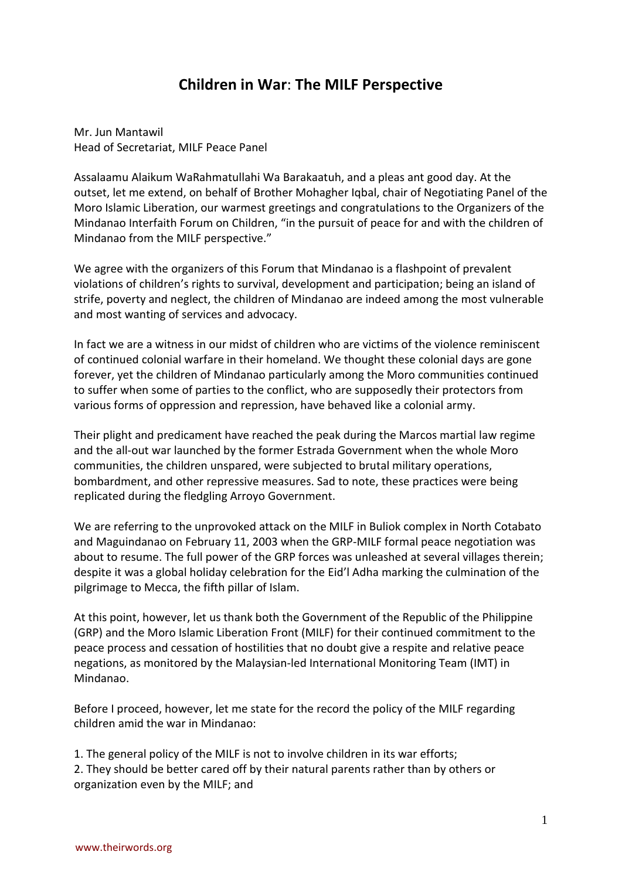## **Children in War**: **The MILF Perspective**

Mr. Jun Mantawil Head of Secretariat, MILF Peace Panel

Assalaamu Alaikum WaRahmatullahi Wa Barakaatuh, and a pleas ant good day. At the outset, let me extend, on behalf of Brother Mohagher Iqbal, chair of Negotiating Panel of the Moro Islamic Liberation, our warmest greetings and congratulations to the Organizers of the Mindanao Interfaith Forum on Children, "in the pursuit of peace for and with the children of Mindanao from the MILF perspective."

We agree with the organizers of this Forum that Mindanao is a flashpoint of prevalent violations of children's rights to survival, development and participation; being an island of strife, poverty and neglect, the children of Mindanao are indeed among the most vulnerable and most wanting of services and advocacy.

In fact we are a witness in our midst of children who are victims of the violence reminiscent of continued colonial warfare in their homeland. We thought these colonial days are gone forever, yet the children of Mindanao particularly among the Moro communities continued to suffer when some of parties to the conflict, who are supposedly their protectors from various forms of oppression and repression, have behaved like a colonial army.

Their plight and predicament have reached the peak during the Marcos martial law regime and the all-out war launched by the former Estrada Government when the whole Moro communities, the children unspared, were subjected to brutal military operations, bombardment, and other repressive measures. Sad to note, these practices were being replicated during the fledgling Arroyo Government.

We are referring to the unprovoked attack on the MILF in Buliok complex in North Cotabato and Maguindanao on February 11, 2003 when the GRP-MILF formal peace negotiation was about to resume. The full power of the GRP forces was unleashed at several villages therein; despite it was a global holiday celebration for the Eid'l Adha marking the culmination of the pilgrimage to Mecca, the fifth pillar of Islam.

At this point, however, let us thank both the Government of the Republic of the Philippine (GRP) and the Moro Islamic Liberation Front (MILF) for their continued commitment to the peace process and cessation of hostilities that no doubt give a respite and relative peace negations, as monitored by the Malaysian-led International Monitoring Team (IMT) in Mindanao.

Before I proceed, however, let me state for the record the policy of the MILF regarding children amid the war in Mindanao:

1. The general policy of the MILF is not to involve children in its war efforts; 2. They should be better cared off by their natural parents rather than by others or organization even by the MILF; and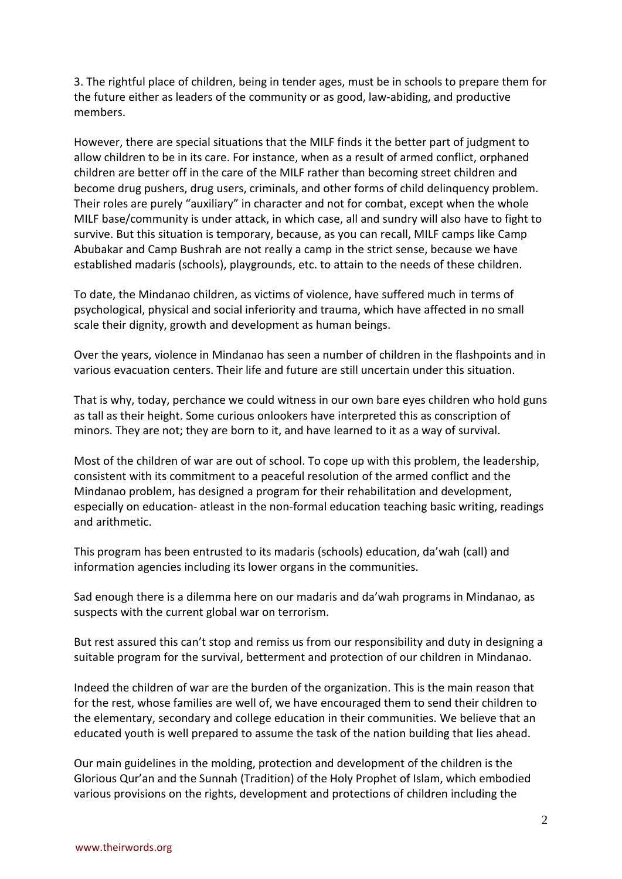3. The rightful place of children, being in tender ages, must be in schools to prepare them for the future either as leaders of the community or as good, law-abiding, and productive members.

However, there are special situations that the MILF finds it the better part of judgment to allow children to be in its care. For instance, when as a result of armed conflict, orphaned children are better off in the care of the MILF rather than becoming street children and become drug pushers, drug users, criminals, and other forms of child delinquency problem. Their roles are purely "auxiliary" in character and not for combat, except when the whole MILF base/community is under attack, in which case, all and sundry will also have to fight to survive. But this situation is temporary, because, as you can recall, MILF camps like Camp Abubakar and Camp Bushrah are not really a camp in the strict sense, because we have established madaris (schools), playgrounds, etc. to attain to the needs of these children.

To date, the Mindanao children, as victims of violence, have suffered much in terms of psychological, physical and social inferiority and trauma, which have affected in no small scale their dignity, growth and development as human beings.

Over the years, violence in Mindanao has seen a number of children in the flashpoints and in various evacuation centers. Their life and future are still uncertain under this situation.

That is why, today, perchance we could witness in our own bare eyes children who hold guns as tall as their height. Some curious onlookers have interpreted this as conscription of minors. They are not; they are born to it, and have learned to it as a way of survival.

Most of the children of war are out of school. To cope up with this problem, the leadership, consistent with its commitment to a peaceful resolution of the armed conflict and the Mindanao problem, has designed a program for their rehabilitation and development, especially on education- atleast in the non-formal education teaching basic writing, readings and arithmetic.

This program has been entrusted to its madaris (schools) education, da'wah (call) and information agencies including its lower organs in the communities.

Sad enough there is a dilemma here on our madaris and da'wah programs in Mindanao, as suspects with the current global war on terrorism.

But rest assured this can't stop and remiss us from our responsibility and duty in designing a suitable program for the survival, betterment and protection of our children in Mindanao.

Indeed the children of war are the burden of the organization. This is the main reason that for the rest, whose families are well of, we have encouraged them to send their children to the elementary, secondary and college education in their communities. We believe that an educated youth is well prepared to assume the task of the nation building that lies ahead.

Our main guidelines in the molding, protection and development of the children is the Glorious Qur'an and the Sunnah (Tradition) of the Holy Prophet of Islam, which embodied various provisions on the rights, development and protections of children including the